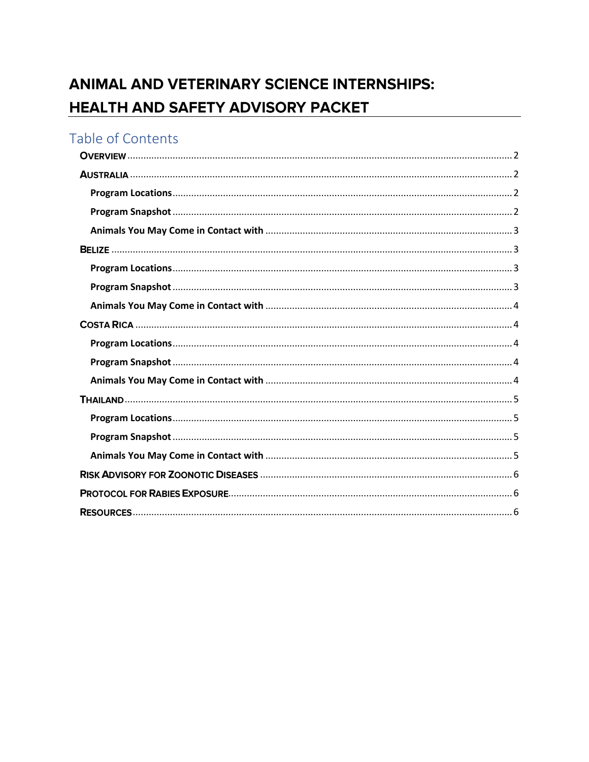# ANIMAL AND VETERINARY SCIENCE INTERNSHIPS: HEALTH AND SAFETY ADVISORY PACKET

# Table of Contents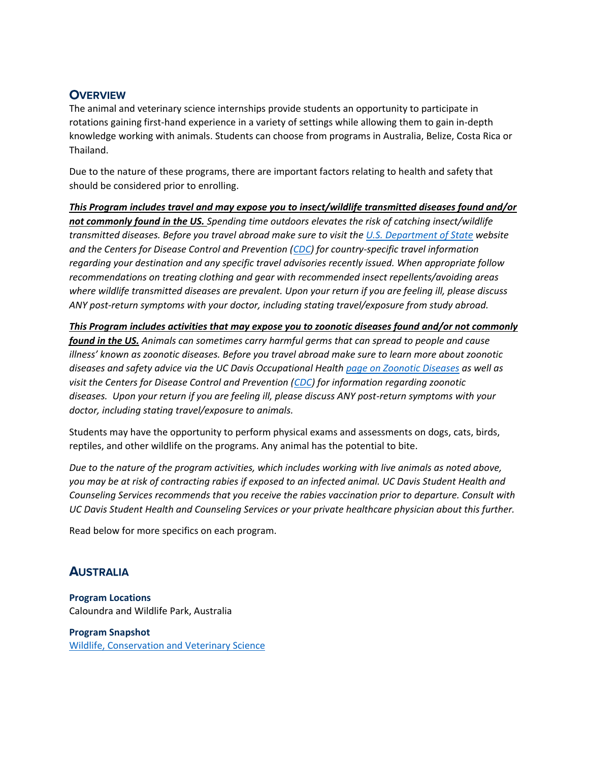# <span id="page-1-0"></span>**OVERVIEW**

The animal and veterinary science internships provide students an opportunity to participate in rotations gaining first-hand experience in a variety of settings while allowing them to gain in-depth knowledge working with animals. Students can choose from programs in Australia, Belize, Costa Rica or Thailand.

Due to the nature of these programs, there are important factors relating to health and safety that should be considered prior to enrolling.

*This Program includes travel and may expose you to insect/wildlife transmitted diseases found and/or not commonly found in the US. Spending time outdoors elevates the risk of catching insect/wildlife transmitted diseases. Before you travel abroad make sure to visit th[e U.S. Department of State](https://travel.state.gov/content/travel/en/international-travel.html) website and the Centers for Disease Control and Prevention [\(CDC\)](https://wwwnc.cdc.gov/travel/) for country-specific travel information regarding your destination and any specific travel advisories recently issued. When appropriate follow recommendations on treating clothing and gear with recommended insect repellents/avoiding areas where wildlife transmitted diseases are prevalent. Upon your return if you are feeling ill, please discuss ANY post-return symptoms with your doctor, including stating travel/exposure from study abroad.* 

*This Program includes activities that may expose you to zoonotic diseases found and/or not commonly found in the US. Animals can sometimes carry harmful germs that can spread to people and cause illness' known as zoonotic diseases. Before you travel abroad make sure to learn more about zoonotic diseases and safety advice via the UC Davis Occupational Health [page on Zoonotic Diseases](https://safetyservices.ucdavis.edu/units/occupational-health/surveillance-system/zoonotic-diseases) as well as visit the Centers for Disease Control and Prevention [\(CDC\)](https://www.cdc.gov/onehealth/basics/zoonotic-diseases.html) for information regarding zoonotic diseases. Upon your return if you are feeling ill, please discuss ANY post-return symptoms with your doctor, including stating travel/exposure to animals.* 

Students may have the opportunity to perform physical exams and assessments on dogs, cats, birds, reptiles, and other wildlife on the programs. Any animal has the potential to bite.

*Due to the nature of the program activities, which includes working with live animals as noted above, you may be at risk of contracting rabies if exposed to an infected animal. UC Davis Student Health and Counseling Services recommends that you receive the rabies vaccination prior to departure. Consult with UC Davis Student Health and Counseling Services or your private healthcare physician about this further.*

Read below for more specifics on each program.

# <span id="page-1-1"></span>**AUSTRALIA**

<span id="page-1-2"></span>**Program Locations** Caloundra and Wildlife Park, Australia

<span id="page-1-3"></span>**Program Snapshot** [Wildlife, Conservation and Veterinary Science](https://globallearning.ucdavis.edu/pathways/academics/studyabroad/si/ag-australia)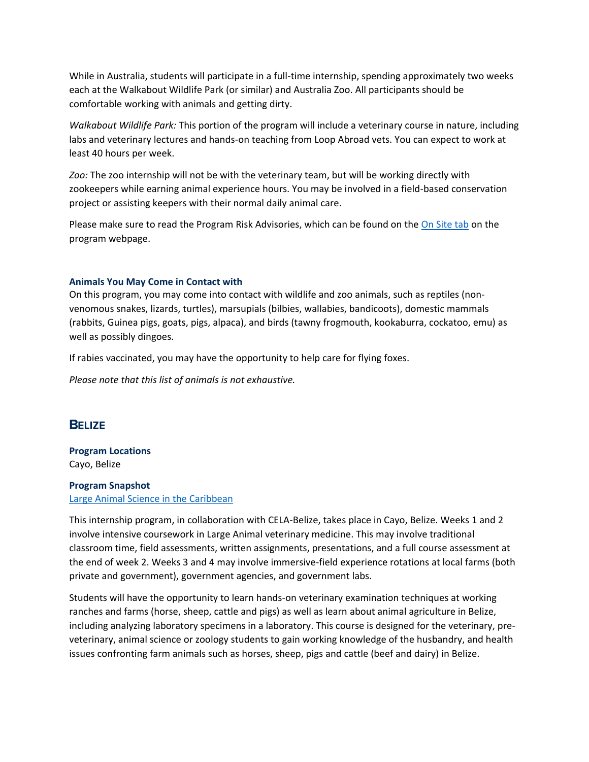While in Australia, students will participate in a full-time internship, spending approximately two weeks each at the Walkabout Wildlife Park (or similar) and Australia Zoo. All participants should be comfortable working with animals and getting dirty.

*Walkabout Wildlife Park:* This portion of the program will include a veterinary course in nature, including labs and veterinary lectures and hands-on teaching from Loop Abroad vets. You can expect to work at least 40 hours per week.

*Zoo:* The zoo internship will not be with the veterinary team, but will be working directly with zookeepers while earning animal experience hours. You may be involved in a field-based conservation project or assisting keepers with their normal daily animal care.

Please make sure to read the Program Risk Advisories, which can be found on the [On Site tab](https://globallearning.ucdavis.edu/pathways/academics/studyabroad/si/ag-australia/onsite) on the program webpage.

#### <span id="page-2-0"></span>**Animals You May Come in Contact with**

On this program, you may come into contact with wildlife and zoo animals, such as reptiles (nonvenomous snakes, lizards, turtles), marsupials (bilbies, wallabies, bandicoots), domestic mammals (rabbits, Guinea pigs, goats, pigs, alpaca), and birds (tawny frogmouth, kookaburra, cockatoo, emu) as well as possibly dingoes.

If rabies vaccinated, you may have the opportunity to help care for flying foxes.

*Please note that this list of animals is not exhaustive.*

#### <span id="page-2-1"></span>**BELIZE**

<span id="page-2-2"></span>**Program Locations** Cayo, Belize

### <span id="page-2-3"></span>**Program Snapshot** [Large Animal Science in the Caribbean](https://globallearning.ucdavis.edu/pathways/academics/studyabroad/si/ag-belize)

This internship program, in collaboration with CELA-Belize, takes place in Cayo, Belize. Weeks 1 and 2 involve intensive coursework in Large Animal veterinary medicine. This may involve traditional classroom time, field assessments, written assignments, presentations, and a full course assessment at the end of week 2. Weeks 3 and 4 may involve immersive-field experience rotations at local farms (both private and government), government agencies, and government labs.

Students will have the opportunity to learn hands-on veterinary examination techniques at working ranches and farms (horse, sheep, cattle and pigs) as well as learn about animal agriculture in Belize, including analyzing laboratory specimens in a laboratory. This course is designed for the veterinary, preveterinary, animal science or zoology students to gain working knowledge of the husbandry, and health issues confronting farm animals such as horses, sheep, pigs and cattle (beef and dairy) in Belize.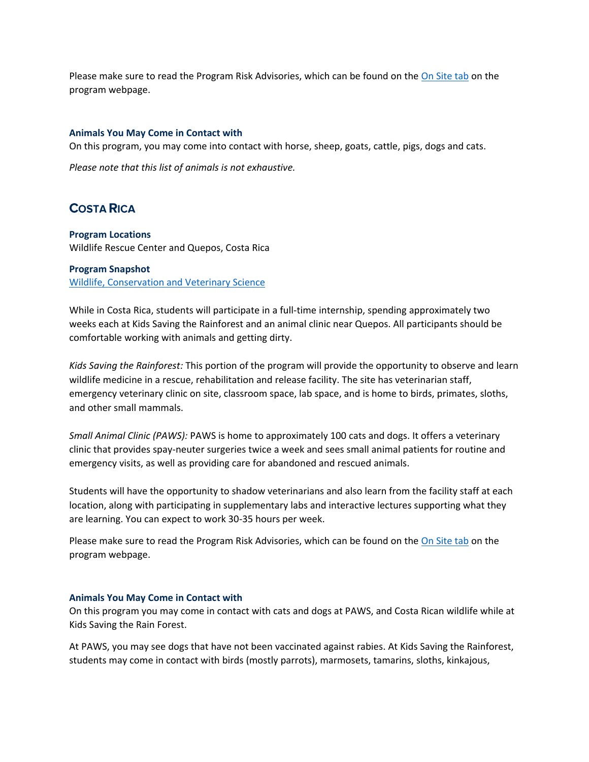Please make sure to read the Program Risk Advisories, which can be found on the [On Site tab](https://globallearning.ucdavis.edu/pathways/academics/studyabroad/si/ag-belize/onsite) on the program webpage.

#### <span id="page-3-0"></span>**Animals You May Come in Contact with**

On this program, you may come into contact with horse, sheep, goats, cattle, pigs, dogs and cats.

*Please note that this list of animals is not exhaustive.*

# <span id="page-3-1"></span>**COSTA RICA**

#### <span id="page-3-2"></span>**Program Locations**

Wildlife Rescue Center and Quepos, Costa Rica

### <span id="page-3-3"></span>**Program Snapshot**

[Wildlife, Conservation and Veterinary Science](https://globallearning.ucdavis.edu/pathways/academics/studyabroad/si/ag-costa-rica)

While in Costa Rica, students will participate in a full-time internship, spending approximately two weeks each at Kids Saving the Rainforest and an animal clinic near Quepos. All participants should be comfortable working with animals and getting dirty.

*Kids Saving the Rainforest:* This portion of the program will provide the opportunity to observe and learn wildlife medicine in a rescue, rehabilitation and release facility. The site has veterinarian staff, emergency veterinary clinic on site, classroom space, lab space, and is home to birds, primates, sloths, and other small mammals.

*Small Animal Clinic (PAWS):* PAWS is home to approximately 100 cats and dogs. It offers a veterinary clinic that provides spay-neuter surgeries twice a week and sees small animal patients for routine and emergency visits, as well as providing care for abandoned and rescued animals.

Students will have the opportunity to shadow veterinarians and also learn from the facility staff at each location, along with participating in supplementary labs and interactive lectures supporting what they are learning. You can expect to work 30-35 hours per week.

Please make sure to read the Program Risk Advisories, which can be found on the [On Site tab](https://globallearning.ucdavis.edu/pathways/academics/studyabroad/si/ag-costa-rica/onsite) on the program webpage.

#### <span id="page-3-4"></span>**Animals You May Come in Contact with**

On this program you may come in contact with cats and dogs at PAWS, and Costa Rican wildlife while at Kids Saving the Rain Forest.

At PAWS, you may see dogs that have not been vaccinated against rabies. At Kids Saving the Rainforest, students may come in contact with birds (mostly parrots), marmosets, tamarins, sloths, kinkajous,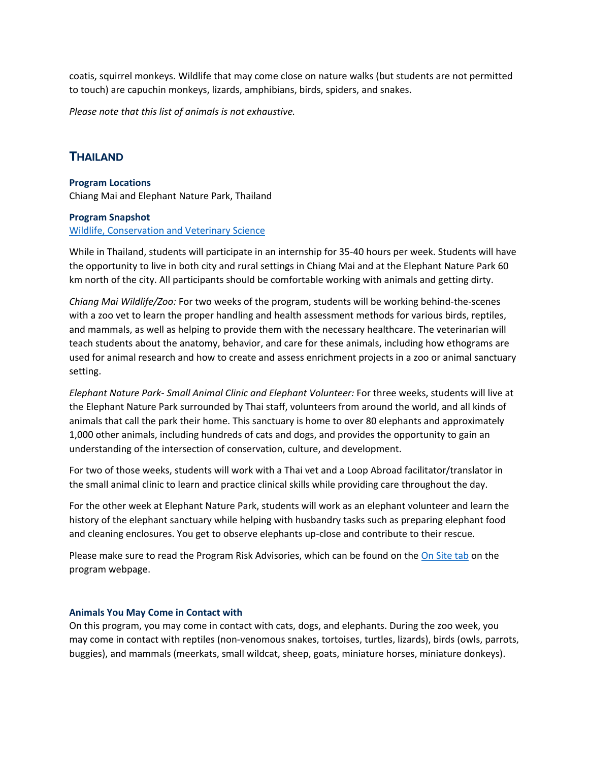coatis, squirrel monkeys. Wildlife that may come close on nature walks (but students are not permitted to touch) are capuchin monkeys, lizards, amphibians, birds, spiders, and snakes.

*Please note that this list of animals is not exhaustive.*

# <span id="page-4-0"></span>**THAILAND**

<span id="page-4-1"></span>**Program Locations** Chiang Mai and Elephant Nature Park, Thailand

#### <span id="page-4-2"></span>**Program Snapshot**

#### [Wildlife, Conservation and Veterinary Science](https://globallearning.ucdavis.edu/pathways/academics/studyabroad/si/ag-thailand)

While in Thailand, students will participate in an internship for 35-40 hours per week. Students will have the opportunity to live in both city and rural settings in Chiang Mai and at the Elephant Nature Park 60 km north of the city. All participants should be comfortable working with animals and getting dirty.

*Chiang Mai Wildlife/Zoo:* For two weeks of the program, students will be working behind-the-scenes with a zoo vet to learn the proper handling and health assessment methods for various birds, reptiles, and mammals, as well as helping to provide them with the necessary healthcare. The veterinarian will teach students about the anatomy, behavior, and care for these animals, including how ethograms are used for animal research and how to create and assess enrichment projects in a zoo or animal sanctuary setting.

*Elephant Nature Park- Small Animal Clinic and Elephant Volunteer:* For three weeks, students will live at the Elephant Nature Park surrounded by Thai staff, volunteers from around the world, and all kinds of animals that call the park their home. This sanctuary is home to over 80 elephants and approximately 1,000 other animals, including hundreds of cats and dogs, and provides the opportunity to gain an understanding of the intersection of conservation, culture, and development.

For two of those weeks, students will work with a Thai vet and a Loop Abroad facilitator/translator in the small animal clinic to learn and practice clinical skills while providing care throughout the day.

For the other week at Elephant Nature Park, students will work as an elephant volunteer and learn the history of the elephant sanctuary while helping with husbandry tasks such as preparing elephant food and cleaning enclosures. You get to observe elephants up-close and contribute to their rescue.

Please make sure to read the Program Risk Advisories, which can be found on the [On Site tab](https://globallearning.ucdavis.edu/pathways/academics/studyabroad/si/ag-thailand/onsite) on the program webpage.

#### <span id="page-4-3"></span>**Animals You May Come in Contact with**

On this program, you may come in contact with cats, dogs, and elephants. During the zoo week, you may come in contact with reptiles (non-venomous snakes, tortoises, turtles, lizards), birds (owls, parrots, buggies), and mammals (meerkats, small wildcat, sheep, goats, miniature horses, miniature donkeys).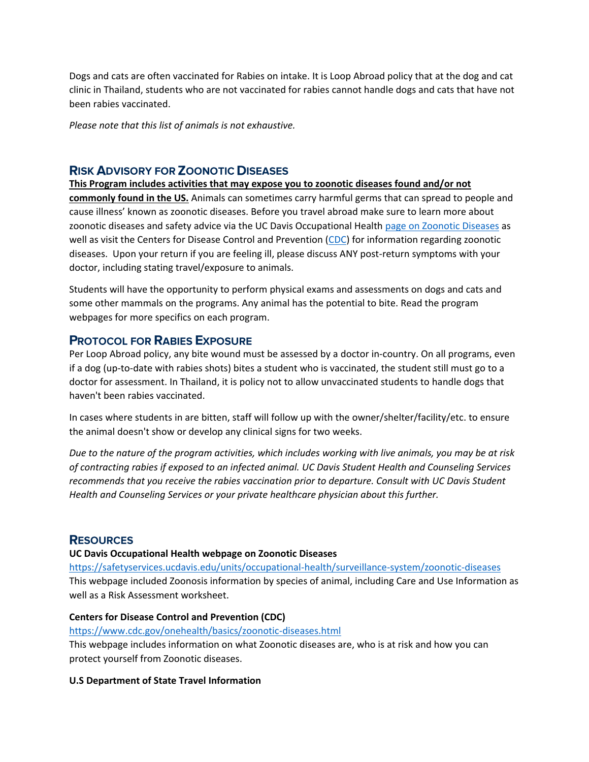Dogs and cats are often vaccinated for Rabies on intake. It is Loop Abroad policy that at the dog and cat clinic in Thailand, students who are not vaccinated for rabies cannot handle dogs and cats that have not been rabies vaccinated.

*Please note that this list of animals is not exhaustive.*

# <span id="page-5-0"></span>**RISK ADVISORY FOR ZOONOTIC DISEASES**

**This Program includes activities that may expose you to zoonotic diseases found and/or not commonly found in the US.** Animals can sometimes carry harmful germs that can spread to people and cause illness' known as zoonotic diseases. Before you travel abroad make sure to learn more about zoonotic diseases and safety advice via the UC Davis Occupational Health [page on Zoonotic Diseases](https://safetyservices.ucdavis.edu/units/occupational-health/surveillance-system/zoonotic-diseases) as well as visit the Centers for Disease Control and Prevention [\(CDC\)](https://www.cdc.gov/onehealth/basics/zoonotic-diseases.html) for information regarding zoonotic diseases. Upon your return if you are feeling ill, please discuss ANY post-return symptoms with your doctor, including stating travel/exposure to animals.

Students will have the opportunity to perform physical exams and assessments on dogs and cats and some other mammals on the programs. Any animal has the potential to bite. Read the program webpages for more specifics on each program.

# <span id="page-5-1"></span>**PROTOCOL FOR RABIES EXPOSURE**

Per Loop Abroad policy, any bite wound must be assessed by a doctor in-country. On all programs, even if a dog (up-to-date with rabies shots) bites a student who is vaccinated, the student still must go to a doctor for assessment. In Thailand, it is policy not to allow unvaccinated students to handle dogs that haven't been rabies vaccinated.

In cases where students in are bitten, staff will follow up with the owner/shelter/facility/etc. to ensure the animal doesn't show or develop any clinical signs for two weeks.

*Due to the nature of the program activities, which includes working with live animals, you may be at risk of contracting rabies if exposed to an infected animal. UC Davis Student Health and Counseling Services recommends that you receive the rabies vaccination prior to departure. Consult with UC Davis Student Health and Counseling Services or your private healthcare physician about this further.*

# <span id="page-5-2"></span>**RESOURCES**

#### **UC Davis Occupational Health webpage on Zoonotic Diseases**

<https://safetyservices.ucdavis.edu/units/occupational-health/surveillance-system/zoonotic-diseases> This webpage included Zoonosis information by species of animal, including Care and Use Information as well as a Risk Assessment worksheet.

#### **Centers for Disease Control and Prevention (CDC)**

<https://www.cdc.gov/onehealth/basics/zoonotic-diseases.html>

This webpage includes information on what Zoonotic diseases are, who is at risk and how you can protect yourself from Zoonotic diseases.

#### **U.S Department of State Travel Information**